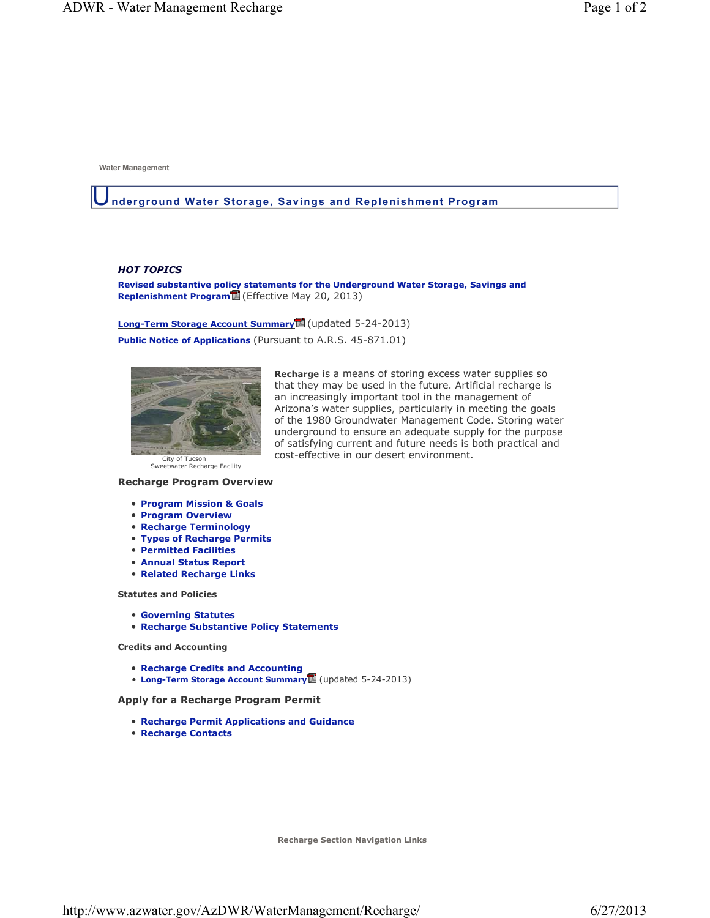**Water Management**

#### U**nderground Water Storage, Savings and Replenishment Program**

#### *HOT TOPICS*

**Revised substantive policy statements for the Underground Water Storage, Savings and Replenishment Program** (Effective May 20, 2013)

**Long-Term Storage Account Summary** (updated 5-24-2013)

**Public Notice of Applications** (Pursuant to A.R.S. 45-871.01)



**Recharge** is a means of storing excess water supplies so that they may be used in the future. Artificial recharge is an increasingly important tool in the management of Arizona's water supplies, particularly in meeting the goals of the 1980 Groundwater Management Code. Storing water underground to ensure an adequate supply for the purpose of satisfying current and future needs is both practical and cost-effective in our desert environment.

Sweetwater Recharge Facility

#### **Recharge Program Overview**

- **Program Mission & Goals**
- **Program Overview**
- **Recharge Terminology**
- **Types of Recharge Permits**
- **Permitted Facilities**
- **Annual Status Report**
- **Related Recharge Links**

**Statutes and Policies** 

- **Governing Statutes**
- **Recharge Substantive Policy Statements**

**Credits and Accounting** 

- **Recharge Credits and Accounting**
- **Long-Term Storage Account Summary** (updated 5-24-2013)

**Apply for a Recharge Program Permit**

- **Recharge Permit Applications and Guidance**
- **Recharge Contacts**

**Recharge Section Navigation Links**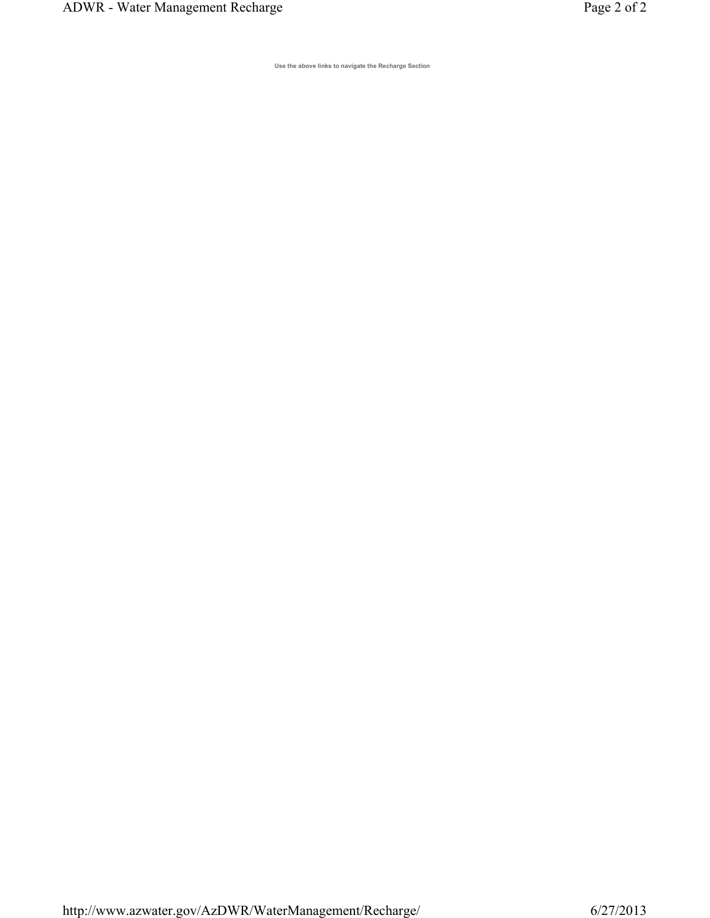**Use the above links to navigate the Recharge Section**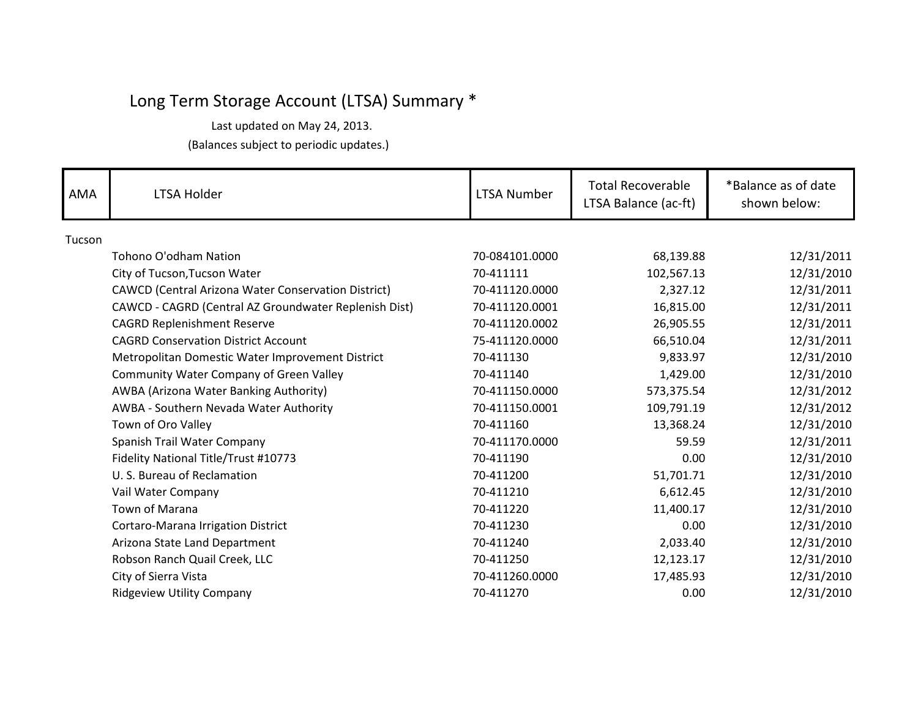(Balances subject to periodic updates.) Last updated on May 24, 2013.

| <b>AMA</b> | LTSA Holder                                           | <b>LTSA Number</b> | <b>Total Recoverable</b><br>LTSA Balance (ac-ft) | *Balance as of date<br>shown below: |
|------------|-------------------------------------------------------|--------------------|--------------------------------------------------|-------------------------------------|
| Tucson     |                                                       |                    |                                                  |                                     |
|            | Tohono O'odham Nation                                 | 70-084101.0000     | 68,139.88                                        | 12/31/2011                          |
|            | City of Tucson, Tucson Water                          | 70-411111          | 102,567.13                                       | 12/31/2010                          |
|            | CAWCD (Central Arizona Water Conservation District)   | 70-411120.0000     | 2,327.12                                         | 12/31/2011                          |
|            | CAWCD - CAGRD (Central AZ Groundwater Replenish Dist) | 70-411120.0001     | 16,815.00                                        | 12/31/2011                          |
|            | <b>CAGRD Replenishment Reserve</b>                    | 70-411120.0002     | 26,905.55                                        | 12/31/2011                          |
|            | <b>CAGRD Conservation District Account</b>            | 75-411120.0000     | 66,510.04                                        | 12/31/2011                          |
|            | Metropolitan Domestic Water Improvement District      | 70-411130          | 9,833.97                                         | 12/31/2010                          |
|            | Community Water Company of Green Valley               | 70-411140          | 1,429.00                                         | 12/31/2010                          |
|            | AWBA (Arizona Water Banking Authority)                | 70-411150.0000     | 573,375.54                                       | 12/31/2012                          |
|            | AWBA - Southern Nevada Water Authority                | 70-411150.0001     | 109,791.19                                       | 12/31/2012                          |
|            | Town of Oro Valley                                    | 70-411160          | 13,368.24                                        | 12/31/2010                          |
|            | Spanish Trail Water Company                           | 70-411170.0000     | 59.59                                            | 12/31/2011                          |
|            | Fidelity National Title/Trust #10773                  | 70-411190          | 0.00                                             | 12/31/2010                          |
|            | U. S. Bureau of Reclamation                           | 70-411200          | 51,701.71                                        | 12/31/2010                          |
|            | Vail Water Company                                    | 70-411210          | 6,612.45                                         | 12/31/2010                          |
|            | <b>Town of Marana</b>                                 | 70-411220          | 11,400.17                                        | 12/31/2010                          |
|            | Cortaro-Marana Irrigation District                    | 70-411230          | 0.00                                             | 12/31/2010                          |
|            | Arizona State Land Department                         | 70-411240          | 2,033.40                                         | 12/31/2010                          |
|            | Robson Ranch Quail Creek, LLC                         | 70-411250          | 12,123.17                                        | 12/31/2010                          |
|            | City of Sierra Vista                                  | 70-411260.0000     | 17,485.93                                        | 12/31/2010                          |
|            | <b>Ridgeview Utility Company</b>                      | 70-411270          | 0.00                                             | 12/31/2010                          |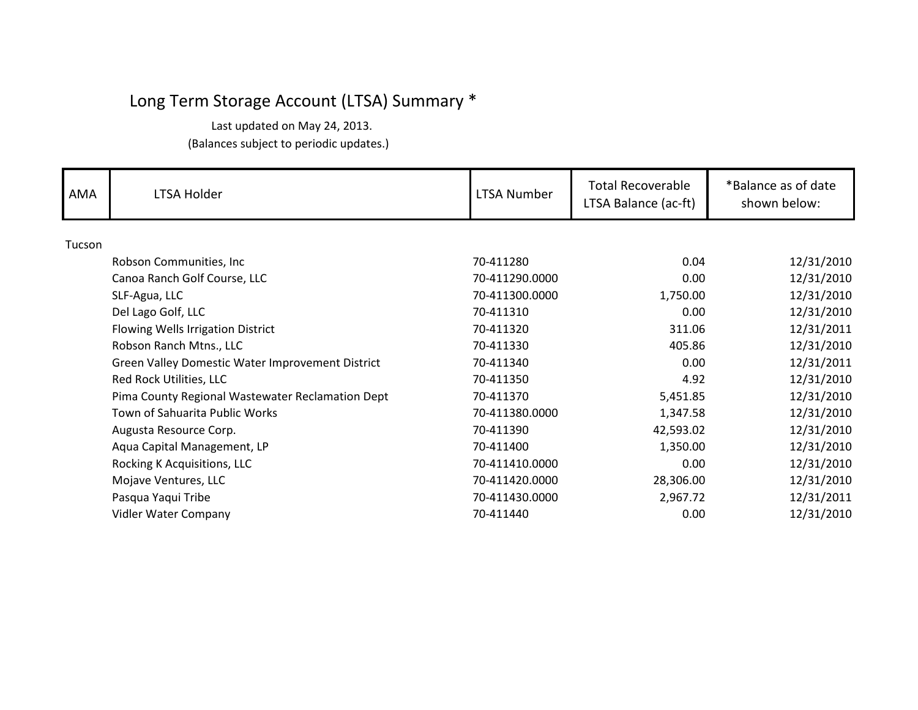| AMA    | LTSA Holder                                      | LTSA Number    | <b>Total Recoverable</b><br>LTSA Balance (ac-ft) | *Balance as of date<br>shown below: |
|--------|--------------------------------------------------|----------------|--------------------------------------------------|-------------------------------------|
| Tucson |                                                  |                |                                                  |                                     |
|        | Robson Communities, Inc.                         | 70-411280      | 0.04                                             | 12/31/2010                          |
|        | Canoa Ranch Golf Course, LLC                     | 70-411290.0000 | 0.00                                             | 12/31/2010                          |
|        | SLF-Agua, LLC                                    | 70-411300.0000 | 1,750.00                                         | 12/31/2010                          |
|        | Del Lago Golf, LLC                               | 70-411310      | 0.00                                             | 12/31/2010                          |
|        | Flowing Wells Irrigation District                | 70-411320      | 311.06                                           | 12/31/2011                          |
|        | Robson Ranch Mtns., LLC                          | 70-411330      | 405.86                                           | 12/31/2010                          |
|        | Green Valley Domestic Water Improvement District | 70-411340      | 0.00                                             | 12/31/2011                          |
|        | Red Rock Utilities, LLC                          | 70-411350      | 4.92                                             | 12/31/2010                          |
|        | Pima County Regional Wastewater Reclamation Dept | 70-411370      | 5,451.85                                         | 12/31/2010                          |
|        | Town of Sahuarita Public Works                   | 70-411380.0000 | 1,347.58                                         | 12/31/2010                          |
|        | Augusta Resource Corp.                           | 70-411390      | 42,593.02                                        | 12/31/2010                          |
|        | Aqua Capital Management, LP                      | 70-411400      | 1,350.00                                         | 12/31/2010                          |
|        | Rocking K Acquisitions, LLC                      | 70-411410.0000 | 0.00                                             | 12/31/2010                          |
|        | Mojave Ventures, LLC                             | 70-411420.0000 | 28,306.00                                        | 12/31/2010                          |
|        | Pasqua Yaqui Tribe                               | 70-411430.0000 | 2,967.72                                         | 12/31/2011                          |
|        | Vidler Water Company                             | 70-411440      | 0.00                                             | 12/31/2010                          |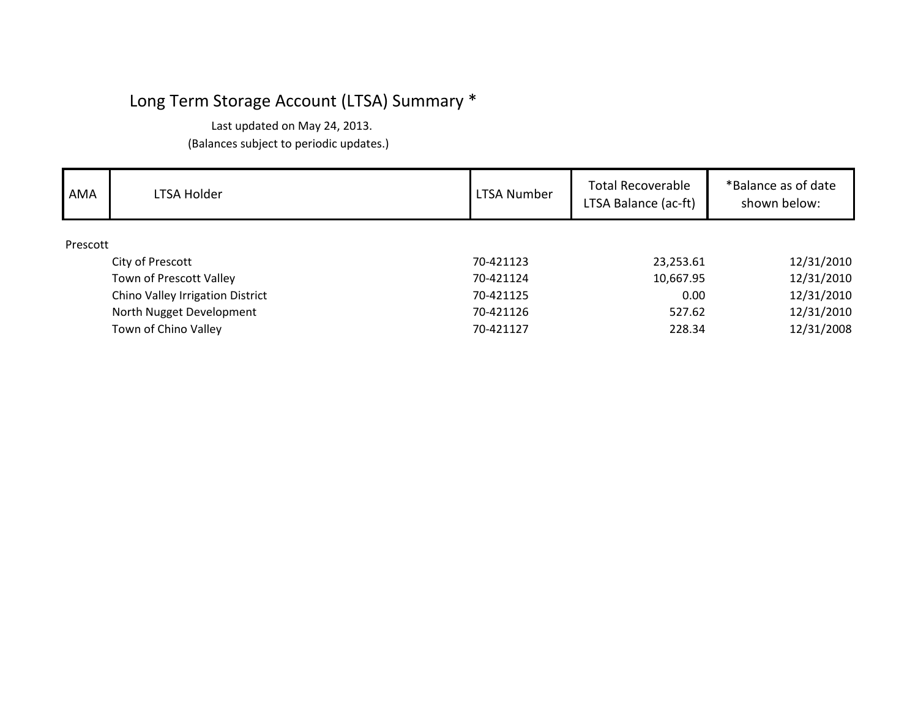| AMA      | <b>LTSA Holder</b>               | <b>LTSA Number</b> | Total Recoverable<br>LTSA Balance (ac-ft) | *Balance as of date<br>shown below: |
|----------|----------------------------------|--------------------|-------------------------------------------|-------------------------------------|
| Prescott |                                  |                    |                                           |                                     |
|          | City of Prescott                 | 70-421123          | 23,253.61                                 | 12/31/2010                          |
|          | Town of Prescott Valley          | 70-421124          | 10,667.95                                 | 12/31/2010                          |
|          | Chino Valley Irrigation District | 70-421125          | 0.00                                      | 12/31/2010                          |
|          | North Nugget Development         | 70-421126          | 527.62                                    | 12/31/2010                          |
|          | Town of Chino Valley             | 70-421127          | 228.34                                    | 12/31/2008                          |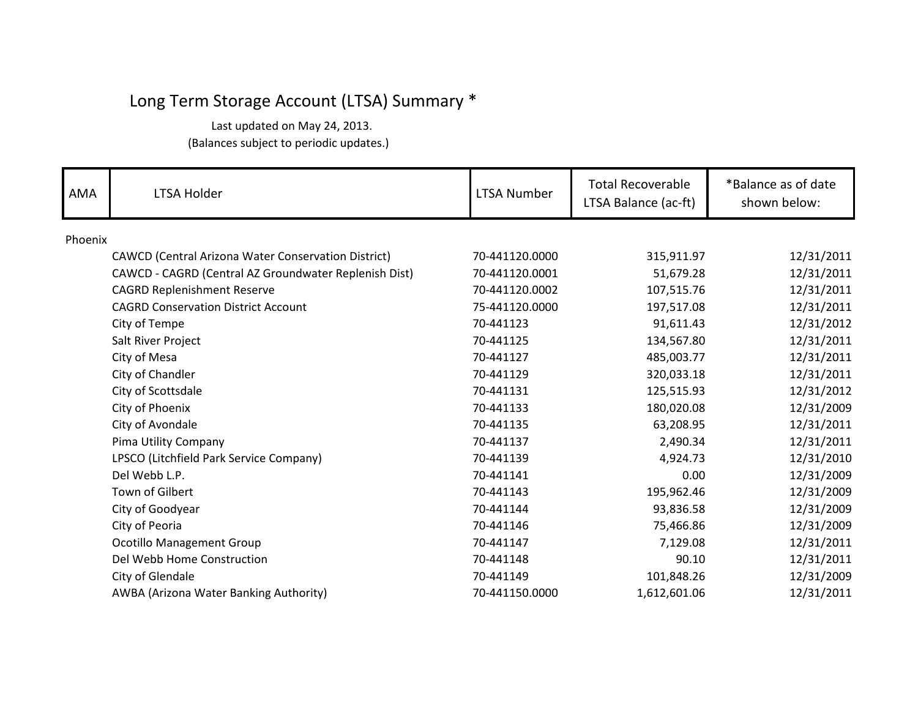| AMA     | <b>LTSA Holder</b>                                         | LTSA Number    | <b>Total Recoverable</b><br>LTSA Balance (ac-ft) | *Balance as of date<br>shown below: |
|---------|------------------------------------------------------------|----------------|--------------------------------------------------|-------------------------------------|
| Phoenix |                                                            |                |                                                  |                                     |
|         | <b>CAWCD (Central Arizona Water Conservation District)</b> | 70-441120.0000 | 315,911.97                                       | 12/31/2011                          |
|         | CAWCD - CAGRD (Central AZ Groundwater Replenish Dist)      | 70-441120.0001 | 51,679.28                                        | 12/31/2011                          |
|         | <b>CAGRD Replenishment Reserve</b>                         | 70-441120.0002 | 107,515.76                                       | 12/31/2011                          |
|         | <b>CAGRD Conservation District Account</b>                 | 75-441120.0000 | 197,517.08                                       | 12/31/2011                          |
|         | City of Tempe                                              | 70-441123      | 91,611.43                                        | 12/31/2012                          |
|         | Salt River Project                                         | 70-441125      | 134,567.80                                       | 12/31/2011                          |
|         | City of Mesa                                               | 70-441127      | 485,003.77                                       | 12/31/2011                          |
|         | City of Chandler                                           | 70-441129      | 320,033.18                                       | 12/31/2011                          |
|         | City of Scottsdale                                         | 70-441131      | 125,515.93                                       | 12/31/2012                          |
|         | City of Phoenix                                            | 70-441133      | 180,020.08                                       | 12/31/2009                          |
|         | City of Avondale                                           | 70-441135      | 63,208.95                                        | 12/31/2011                          |
|         | Pima Utility Company                                       | 70-441137      | 2,490.34                                         | 12/31/2011                          |
|         | LPSCO (Litchfield Park Service Company)                    | 70-441139      | 4,924.73                                         | 12/31/2010                          |
|         | Del Webb L.P.                                              | 70-441141      | 0.00                                             | 12/31/2009                          |
|         | Town of Gilbert                                            | 70-441143      | 195,962.46                                       | 12/31/2009                          |
|         | City of Goodyear                                           | 70-441144      | 93,836.58                                        | 12/31/2009                          |
|         | City of Peoria                                             | 70-441146      | 75,466.86                                        | 12/31/2009                          |
|         | <b>Ocotillo Management Group</b>                           | 70-441147      | 7,129.08                                         | 12/31/2011                          |
|         | Del Webb Home Construction                                 | 70-441148      | 90.10                                            | 12/31/2011                          |
|         | City of Glendale                                           | 70-441149      | 101,848.26                                       | 12/31/2009                          |
|         | AWBA (Arizona Water Banking Authority)                     | 70-441150.0000 | 1,612,601.06                                     | 12/31/2011                          |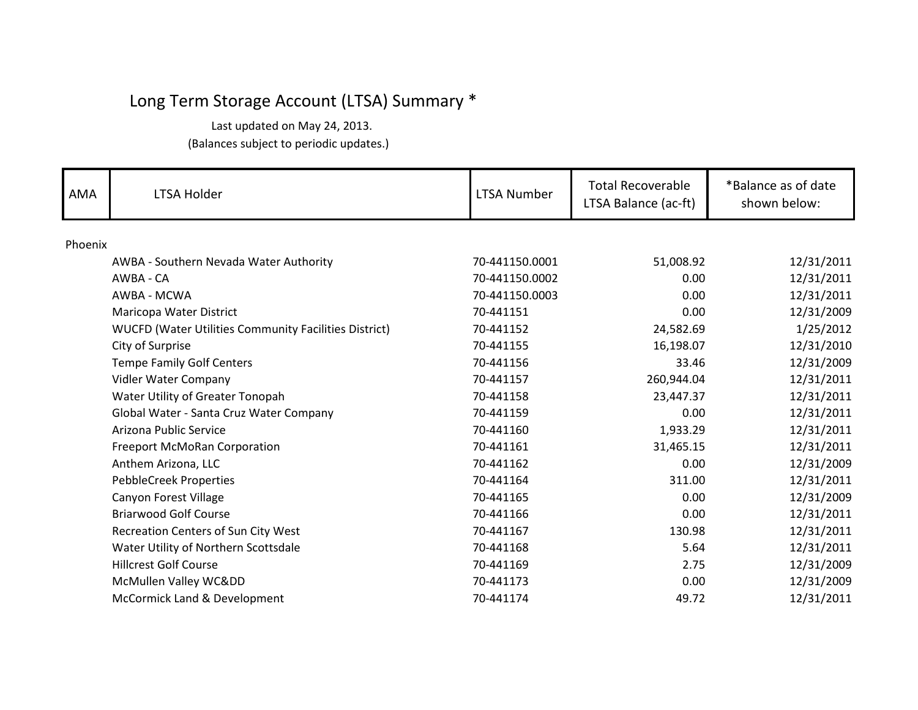| <b>AMA</b> | <b>LTSA Holder</b>                                           | <b>LTSA Number</b> | <b>Total Recoverable</b><br>LTSA Balance (ac-ft) | *Balance as of date<br>shown below: |
|------------|--------------------------------------------------------------|--------------------|--------------------------------------------------|-------------------------------------|
| Phoenix    |                                                              |                    |                                                  |                                     |
|            | AWBA - Southern Nevada Water Authority                       | 70-441150.0001     | 51,008.92                                        | 12/31/2011                          |
|            | AWBA - CA                                                    | 70-441150.0002     | 0.00                                             | 12/31/2011                          |
|            | AWBA - MCWA                                                  | 70-441150.0003     | 0.00                                             | 12/31/2011                          |
|            | Maricopa Water District                                      | 70-441151          | 0.00                                             | 12/31/2009                          |
|            | <b>WUCFD (Water Utilities Community Facilities District)</b> | 70-441152          | 24,582.69                                        | 1/25/2012                           |
|            | City of Surprise                                             | 70-441155          | 16,198.07                                        | 12/31/2010                          |
|            | <b>Tempe Family Golf Centers</b>                             | 70-441156          | 33.46                                            | 12/31/2009                          |
|            | Vidler Water Company                                         | 70-441157          | 260,944.04                                       | 12/31/2011                          |
|            | Water Utility of Greater Tonopah                             | 70-441158          | 23,447.37                                        | 12/31/2011                          |
|            | Global Water - Santa Cruz Water Company                      | 70-441159          | 0.00                                             | 12/31/2011                          |
|            | Arizona Public Service                                       | 70-441160          | 1,933.29                                         | 12/31/2011                          |
|            | Freeport McMoRan Corporation                                 | 70-441161          | 31,465.15                                        | 12/31/2011                          |
|            | Anthem Arizona, LLC                                          | 70-441162          | 0.00                                             | 12/31/2009                          |
|            | <b>PebbleCreek Properties</b>                                | 70-441164          | 311.00                                           | 12/31/2011                          |
|            | Canyon Forest Village                                        | 70-441165          | 0.00                                             | 12/31/2009                          |
|            | <b>Briarwood Golf Course</b>                                 | 70-441166          | 0.00                                             | 12/31/2011                          |
|            | Recreation Centers of Sun City West                          | 70-441167          | 130.98                                           | 12/31/2011                          |
|            | Water Utility of Northern Scottsdale                         | 70-441168          | 5.64                                             | 12/31/2011                          |
|            | <b>Hillcrest Golf Course</b>                                 | 70-441169          | 2.75                                             | 12/31/2009                          |
|            | McMullen Valley WCⅅ                                          | 70-441173          | 0.00                                             | 12/31/2009                          |
|            | McCormick Land & Development                                 | 70-441174          | 49.72                                            | 12/31/2011                          |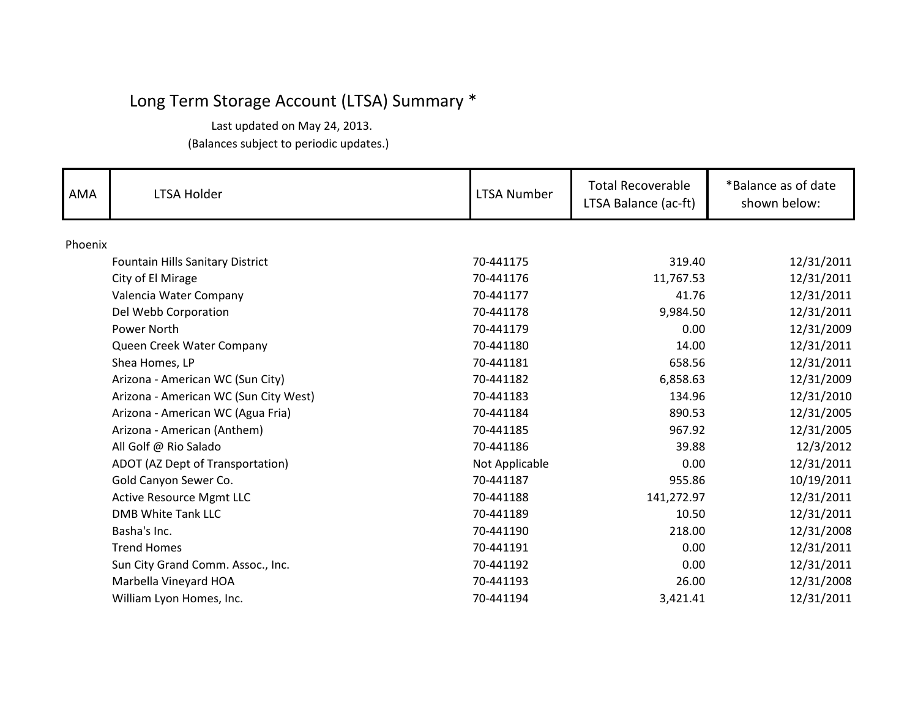| AMA     | <b>LTSA Holder</b>                      | LTSA Number    | <b>Total Recoverable</b><br>LTSA Balance (ac-ft) | *Balance as of date<br>shown below: |
|---------|-----------------------------------------|----------------|--------------------------------------------------|-------------------------------------|
| Phoenix |                                         |                |                                                  |                                     |
|         | <b>Fountain Hills Sanitary District</b> | 70-441175      | 319.40                                           | 12/31/2011                          |
|         | City of El Mirage                       | 70-441176      | 11,767.53                                        | 12/31/2011                          |
|         | Valencia Water Company                  | 70-441177      | 41.76                                            | 12/31/2011                          |
|         | Del Webb Corporation                    | 70-441178      | 9,984.50                                         | 12/31/2011                          |
|         | Power North                             | 70-441179      | 0.00                                             | 12/31/2009                          |
|         | Queen Creek Water Company               | 70-441180      | 14.00                                            | 12/31/2011                          |
|         | Shea Homes, LP                          | 70-441181      | 658.56                                           | 12/31/2011                          |
|         | Arizona - American WC (Sun City)        | 70-441182      | 6,858.63                                         | 12/31/2009                          |
|         | Arizona - American WC (Sun City West)   | 70-441183      | 134.96                                           | 12/31/2010                          |
|         | Arizona - American WC (Agua Fria)       | 70-441184      | 890.53                                           | 12/31/2005                          |
|         | Arizona - American (Anthem)             | 70-441185      | 967.92                                           | 12/31/2005                          |
|         | All Golf @ Rio Salado                   | 70-441186      | 39.88                                            | 12/3/2012                           |
|         | ADOT (AZ Dept of Transportation)        | Not Applicable | 0.00                                             | 12/31/2011                          |
|         | Gold Canyon Sewer Co.                   | 70-441187      | 955.86                                           | 10/19/2011                          |
|         | <b>Active Resource Mgmt LLC</b>         | 70-441188      | 141,272.97                                       | 12/31/2011                          |
|         | <b>DMB White Tank LLC</b>               | 70-441189      | 10.50                                            | 12/31/2011                          |
|         | Basha's Inc.                            | 70-441190      | 218.00                                           | 12/31/2008                          |
|         | <b>Trend Homes</b>                      | 70-441191      | 0.00                                             | 12/31/2011                          |
|         | Sun City Grand Comm. Assoc., Inc.       | 70-441192      | 0.00                                             | 12/31/2011                          |
|         | Marbella Vineyard HOA                   | 70-441193      | 26.00                                            | 12/31/2008                          |
|         | William Lyon Homes, Inc.                | 70-441194      | 3,421.41                                         | 12/31/2011                          |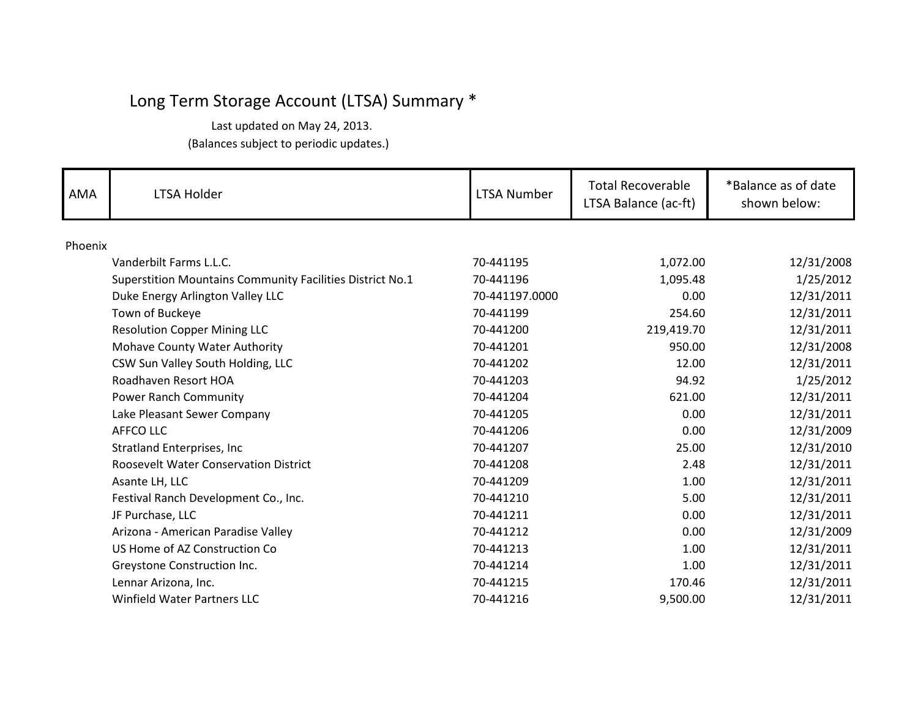| <b>AMA</b> | <b>LTSA Holder</b>                                        | LTSA Number    | <b>Total Recoverable</b><br>LTSA Balance (ac-ft) | *Balance as of date<br>shown below: |
|------------|-----------------------------------------------------------|----------------|--------------------------------------------------|-------------------------------------|
| Phoenix    |                                                           |                |                                                  |                                     |
|            | Vanderbilt Farms L.L.C.                                   | 70-441195      | 1,072.00                                         | 12/31/2008                          |
|            | Superstition Mountains Community Facilities District No.1 | 70-441196      | 1,095.48                                         | 1/25/2012                           |
|            | Duke Energy Arlington Valley LLC                          | 70-441197.0000 | 0.00                                             | 12/31/2011                          |
|            | Town of Buckeye                                           | 70-441199      | 254.60                                           | 12/31/2011                          |
|            | <b>Resolution Copper Mining LLC</b>                       | 70-441200      | 219,419.70                                       | 12/31/2011                          |
|            | Mohave County Water Authority                             | 70-441201      | 950.00                                           | 12/31/2008                          |
|            | CSW Sun Valley South Holding, LLC                         | 70-441202      | 12.00                                            | 12/31/2011                          |
|            | Roadhaven Resort HOA                                      | 70-441203      | 94.92                                            | 1/25/2012                           |
|            | Power Ranch Community                                     | 70-441204      | 621.00                                           | 12/31/2011                          |
|            | Lake Pleasant Sewer Company                               | 70-441205      | 0.00                                             | 12/31/2011                          |
|            | AFFCO LLC                                                 | 70-441206      | 0.00                                             | 12/31/2009                          |
|            | Stratland Enterprises, Inc                                | 70-441207      | 25.00                                            | 12/31/2010                          |
|            | Roosevelt Water Conservation District                     | 70-441208      | 2.48                                             | 12/31/2011                          |
|            | Asante LH, LLC                                            | 70-441209      | 1.00                                             | 12/31/2011                          |
|            | Festival Ranch Development Co., Inc.                      | 70-441210      | 5.00                                             | 12/31/2011                          |
|            | JF Purchase, LLC                                          | 70-441211      | 0.00                                             | 12/31/2011                          |
|            | Arizona - American Paradise Valley                        | 70-441212      | 0.00                                             | 12/31/2009                          |
|            | US Home of AZ Construction Co                             | 70-441213      | 1.00                                             | 12/31/2011                          |
|            | Greystone Construction Inc.                               | 70-441214      | 1.00                                             | 12/31/2011                          |
|            | Lennar Arizona, Inc.                                      | 70-441215      | 170.46                                           | 12/31/2011                          |
|            | <b>Winfield Water Partners LLC</b>                        | 70-441216      | 9,500.00                                         | 12/31/2011                          |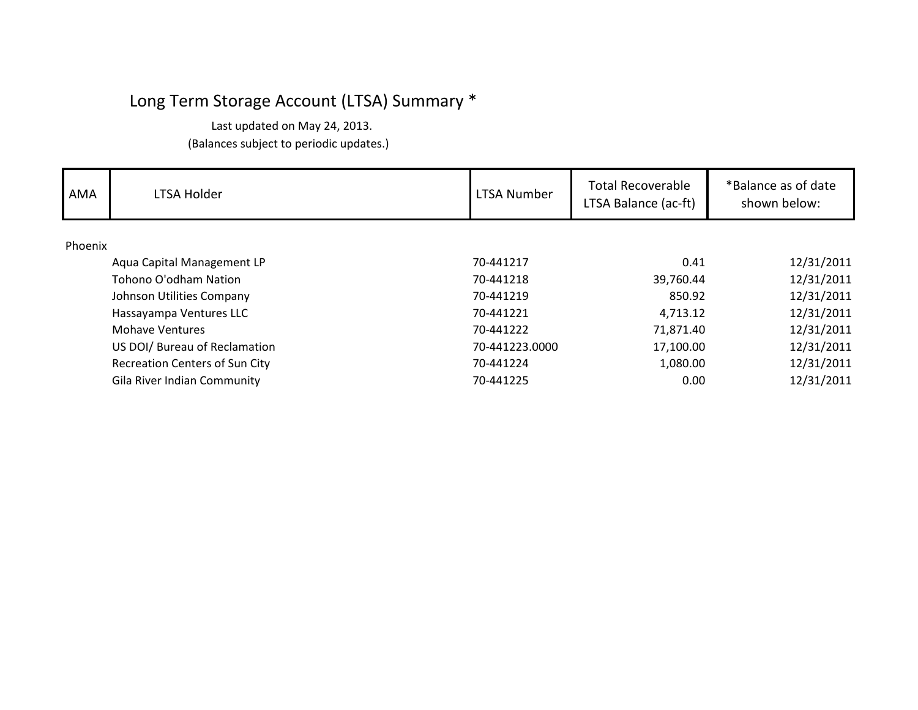| AMA     | LTSA Holder                           | LTSA Number    | <b>Total Recoverable</b><br>LTSA Balance (ac-ft) | *Balance as of date<br>shown below: |
|---------|---------------------------------------|----------------|--------------------------------------------------|-------------------------------------|
| Phoenix |                                       |                |                                                  |                                     |
|         | Aqua Capital Management LP            | 70-441217      | 0.41                                             | 12/31/2011                          |
|         | Tohono O'odham Nation                 | 70-441218      | 39,760.44                                        | 12/31/2011                          |
|         | Johnson Utilities Company             | 70-441219      | 850.92                                           | 12/31/2011                          |
|         | Hassayampa Ventures LLC               | 70-441221      | 4,713.12                                         | 12/31/2011                          |
|         | <b>Mohave Ventures</b>                | 70-441222      | 71,871.40                                        | 12/31/2011                          |
|         | US DOI/ Bureau of Reclamation         | 70-441223.0000 | 17,100.00                                        | 12/31/2011                          |
|         | <b>Recreation Centers of Sun City</b> | 70-441224      | 1,080.00                                         | 12/31/2011                          |
|         | Gila River Indian Community           | 70-441225      | 0.00                                             | 12/31/2011                          |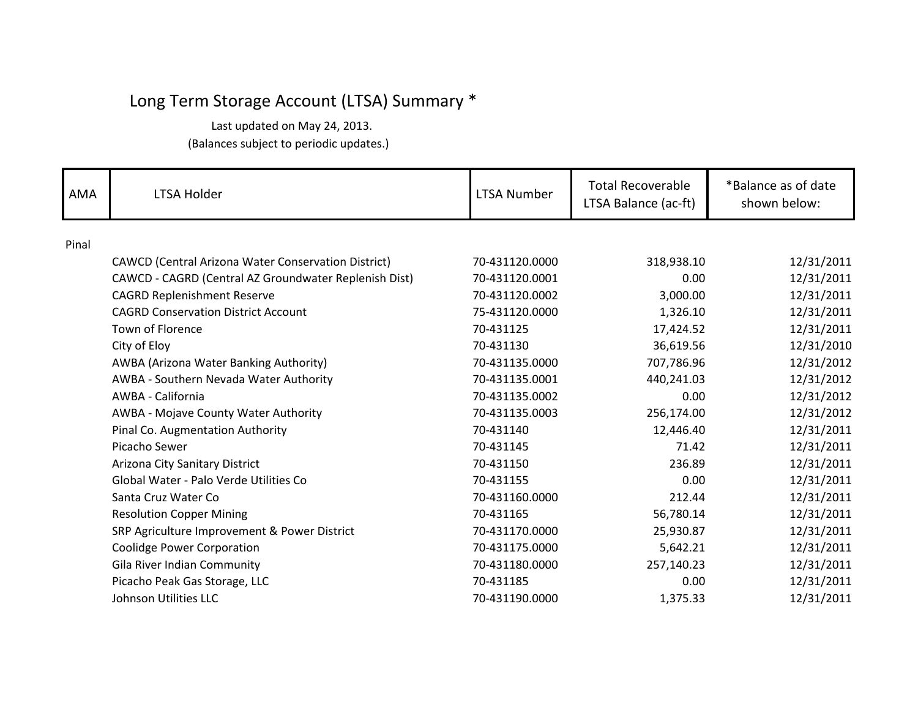| <b>AMA</b> | <b>LTSA Holder</b>                                         | <b>LTSA Number</b> | <b>Total Recoverable</b><br>LTSA Balance (ac-ft) | *Balance as of date<br>shown below: |
|------------|------------------------------------------------------------|--------------------|--------------------------------------------------|-------------------------------------|
| Pinal      |                                                            |                    |                                                  |                                     |
|            | <b>CAWCD (Central Arizona Water Conservation District)</b> | 70-431120.0000     | 318,938.10                                       | 12/31/2011                          |
|            | CAWCD - CAGRD (Central AZ Groundwater Replenish Dist)      | 70-431120.0001     | 0.00                                             | 12/31/2011                          |
|            | <b>CAGRD Replenishment Reserve</b>                         | 70-431120.0002     | 3,000.00                                         | 12/31/2011                          |
|            | <b>CAGRD Conservation District Account</b>                 | 75-431120.0000     | 1,326.10                                         | 12/31/2011                          |
|            | Town of Florence                                           | 70-431125          | 17,424.52                                        | 12/31/2011                          |
|            | City of Eloy                                               | 70-431130          | 36,619.56                                        | 12/31/2010                          |
|            | AWBA (Arizona Water Banking Authority)                     | 70-431135.0000     | 707,786.96                                       | 12/31/2012                          |
|            | AWBA - Southern Nevada Water Authority                     | 70-431135.0001     | 440,241.03                                       | 12/31/2012                          |
|            | AWBA - California                                          | 70-431135.0002     | 0.00                                             | 12/31/2012                          |
|            | AWBA - Mojave County Water Authority                       | 70-431135.0003     | 256,174.00                                       | 12/31/2012                          |
|            | Pinal Co. Augmentation Authority                           | 70-431140          | 12,446.40                                        | 12/31/2011                          |
|            | Picacho Sewer                                              | 70-431145          | 71.42                                            | 12/31/2011                          |
|            | Arizona City Sanitary District                             | 70-431150          | 236.89                                           | 12/31/2011                          |
|            | Global Water - Palo Verde Utilities Co                     | 70-431155          | 0.00                                             | 12/31/2011                          |
|            | Santa Cruz Water Co                                        | 70-431160.0000     | 212.44                                           | 12/31/2011                          |
|            | <b>Resolution Copper Mining</b>                            | 70-431165          | 56,780.14                                        | 12/31/2011                          |
|            | SRP Agriculture Improvement & Power District               | 70-431170.0000     | 25,930.87                                        | 12/31/2011                          |
|            | <b>Coolidge Power Corporation</b>                          | 70-431175.0000     | 5,642.21                                         | 12/31/2011                          |
|            | Gila River Indian Community                                | 70-431180.0000     | 257,140.23                                       | 12/31/2011                          |
|            | Picacho Peak Gas Storage, LLC                              | 70-431185          | 0.00                                             | 12/31/2011                          |
|            | <b>Johnson Utilities LLC</b>                               | 70-431190.0000     | 1,375.33                                         | 12/31/2011                          |